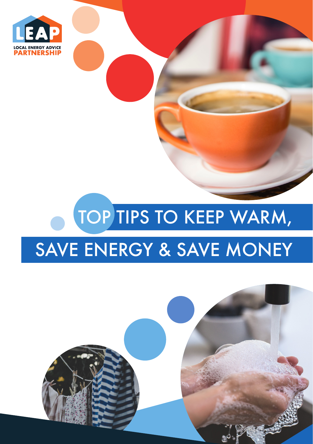

## TOP TIPS TO KEEP WARM,

## SAVE ENERGY & SAVE MONEY

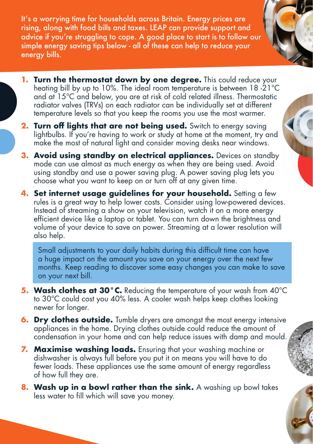It's a worrying time for households across Britain. Energy prices are rising, along with food bills and taxes. LEAP can provide support and advice if you're struggling to cope. A good place to start is to follow our simple energy saving tips below - all of these can help to reduce your energy bills.

- **1. Turn the thermostat down by one degree.** This could reduce your heating bill by up to 10%. The ideal room temperature is between 18 -21 °C and at 15°C and below, you are at risk of cold related illness. Thermostatic radiator valves (TRVs) on each radiator can be individually set at different temperature levels so that you keep the rooms you use the most warmer.
- **2. Turn off lights that are not being used.** Switch to energy saving lightbulbs. If you're having to work or study at home at the moment, try and make the most of natural light and consider moving desks near windows.
- **3. Avoid using standby on electrical appliances.** Devices on standby mode can use almost as much energy as when they are being used. Avoid using standby and use a power saving plug. A power saving plug lets you choose what you want to keep on or turn off at any given time.
- **4. Set internet usage guidelines for your household.** Setting a few rules is a great way to help lower costs. Consider using low-powered devices. Instead of streaming a show on your television, watch it on a more energy efficient device like a laptop or tablet. You can turn down the brightness and volume of your device to save on power. Streaming at a lower resolution will also help.

Small adjustments to your daily habits during this difficult time can have a huge impact on the amount you save on your energy over the next few months. Keep reading to discover some easy changes you can make to save on your next bill.

- **5. Wash clothes at 30°C.** Reducing the temperature of your wash from 40°C to 30°C could cost you 40% less. A cooler wash helps keep clothes looking newer for longer.
- **6. Dry clothes outside.** Tumble dryers are amongst the most energy intensive appliances in the home. Drying clothes outside could reduce the amount of condensation in your home and can help reduce issues with damp and mould.
- **7. Maximise washing loads.** Ensuring that your washing machine or dishwasher is always full before you put it on means you will have to do fewer loads. These appliances use the same amount of energy regardless of how full they are.
- **8. Wash up in a bowl rather than the sink.** A washing up bowl takes less water to fill which will save you money.



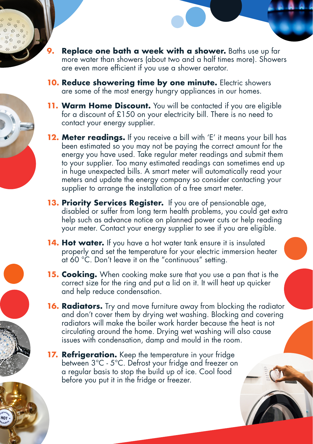- **9. Replace one bath a week with a shower.** Baths use up far more water than showers (about two and a half times more). Showers are even more efficient if you use a shower aerator.
- **10. Reduce showering time by one minute.** Electric showers are some of the most energy hungry appliances in our homes.
- **11. Warm Home Discount.** You will be contacted if you are eligible for a discount of £150 on your electricity bill. There is no need to contact your energy supplier.
- **12. Meter readings.** If you receive a bill with 'E' it means your bill has been estimated so you may not be paying the correct amount for the energy you have used. Take regular meter readings and submit them to your supplier. Too many estimated readings can sometimes end up in huge unexpected bills. A smart meter will automatically read your meters and update the energy company so consider contacting your supplier to arrange the installation of a free smart meter.
- **13. Priority Services Register.** If you are of pensionable age, disabled or suffer from long term health problems, you could get extra help such as advance notice on planned power cuts or help reading your meter. Contact your energy supplier to see if you are eligible.
- **14. Hot water.** If you have a hot water tank ensure it is insulated properly and set the temperature for your electric immersion heater at 60 °C. Don't leave it on the "continuous" setting.
- **15. Cooking.** When cooking make sure that you use a pan that is the correct size for the ring and put a lid on it. It will heat up quicker and help reduce condensation.
- **16. Radiators.** Try and move furniture away from blocking the radiator and don't cover them by drying wet washing. Blocking and covering radiators will make the boiler work harder because the heat is not circulating around the home. Drying wet washing will also cause issues with condensation, damp and mould in the room.
- **17. Refrigeration.** Keep the temperature in your fridge between 3°C - 5°C. Defrost your fridge and freezer on a regular basis to stop the build up of ice. Cool food before you put it in the fridge or freezer.



HOT